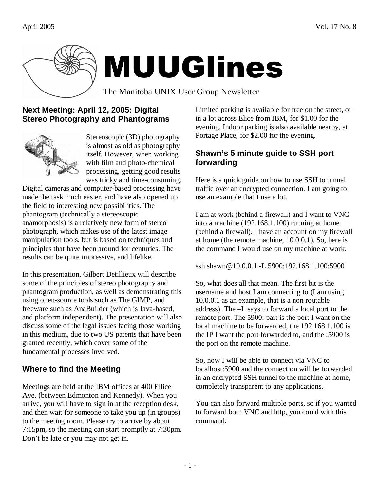

# MUUGlines

The Manitoba UNIX User Group Newsletter

## **Next Meeting: April 12, 2005: Digital Stereo Photography and Phantograms**



Stereoscopic (3D) photography is almost as old as photography itself. However, when working with film and photo-chemical processing, getting good results was tricky and time-consuming.

Digital cameras and computer-based processing have made the task much easier, and have also opened up the field to interesting new possibilities. The phantogram (technically a stereoscopic anamorphosis) is a relatively new form of stereo photograph, which makes use of the latest image manipulation tools, but is based on techniques and principles that have been around for centuries. The results can be quite impressive, and lifelike.

In this presentation, Gilbert Detillieux will describe some of the principles of stereo photography and phantogram production, as well as demonstrating this using open-source tools such as The GIMP, and freeware such as AnaBuilder (which is Java-based, and platform independent). The presentation will also discuss some of the legal issues facing those working in this medium, due to two US patents that have been granted recently, which cover some of the fundamental processes involved.

# **Where to find the Meeting**

Meetings are held at the IBM offices at 400 Ellice Ave. (between Edmonton and Kennedy). When you arrive, you will have to sign in at the reception desk, and then wait for someone to take you up (in groups) to the meeting room. Please try to arrive by about 7:15pm, so the meeting can start promptly at 7:30pm. Don't be late or you may not get in.

Limited parking is available for free on the street, or in a lot across Elice from IBM, for \$1.00 for the evening. Indoor parking is also available nearby, at Portage Place, for \$2.00 for the evening.

## **Shawn's 5 minute guide to SSH port forwarding**

Here is a quick guide on how to use SSH to tunnel traffic over an encrypted connection. I am going to use an example that I use a lot.

I am at work (behind a firewall) and I want to VNC into a machine (192.168.1.100) running at home (behind a firewall). I have an account on my firewall at home (the remote machine, 10.0.0.1). So, here is the command I would use on my machine at work.

ssh shawn@10.0.0.1 -L 5900:192.168.1.100:5900

So, what does all that mean. The first bit is the username and host I am connecting to (I am using 10.0.0.1 as an example, that is a non routable address). The –L says to forward a local port to the remote port. The 5900: part is the port I want on the local machine to be forwarded, the 192.168.1.100 is the IP I want the port forwarded to, and the :5900 is the port on the remote machine.

So, now I will be able to connect via VNC to localhost:5900 and the connection will be forwarded in an encrypted SSH tunnel to the machine at home, completely transparent to any applications.

You can also forward multiple ports, so if you wanted to forward both VNC and http, you could with this command: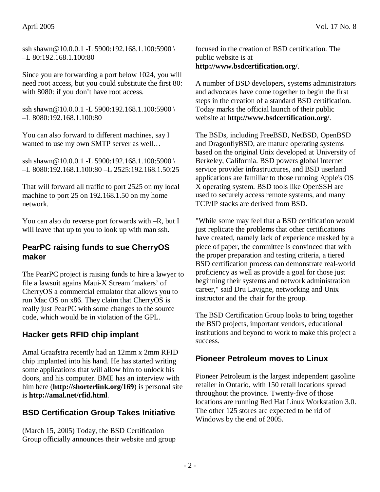#### April 2005 Vol. 17 No. 8

Since you are forwarding a port below 1024, you will need root access, but you could substitute the first 80: with 8080: if you don't have root access.

ssh shawn@10.0.0.1 -L 5900:192.168.1.100:5900 \ –L 8080:192.168.1.100:80

You can also forward to different machines, say I wanted to use my own SMTP server as well…

ssh shawn@10.0.0.1 -L 5900:192.168.1.100:5900 \ –L 8080:192.168.1.100:80 –L 2525:192.168.1.50:25

That will forward all traffic to port 2525 on my local machine to port 25 on 192.168.1.50 on my home network.

You can also do reverse port forwards with –R, but I will leave that up to you to look up with man ssh.

#### **PearPC raising funds to sue CherryOS maker**

The PearPC project is raising funds to hire a lawyer to file a lawsuit agains Maui-X Stream 'makers' of CherryOS a commercial emulator that allows you to run Mac OS on x86. They claim that CherryOS is really just PearPC with some changes to the source code, which would be in violation of the GPL.

## **Hacker gets RFID chip implant**

Amal Graafstra recently had an 12mm x 2mm RFID chip implanted into his hand. He has started writing some applications that will allow him to unlock his doors, and his computer. BME has an interview with him here (**http://shorterlink.org/169**) is personal site is **http://amal.net/rfid.html**.

## **BSD Certification Group Takes Initiative**

(March 15, 2005) Today, the BSD Certification Group officially announces their website and group focused in the creation of BSD certification. The public website is at **http://www.bsdcertification.org/**.

A number of BSD developers, systems administrators and advocates have come together to begin the first steps in the creation of a standard BSD certification. Today marks the official launch of their public website at **http://www.bsdcertification.org/**.

The BSDs, including FreeBSD, NetBSD, OpenBSD and DragonflyBSD, are mature operating systems based on the original Unix developed at University of Berkeley, California. BSD powers global Internet service provider infrastructures, and BSD userland applications are familiar to those running Apple's OS X operating system. BSD tools like OpenSSH are used to securely access remote systems, and many TCP/IP stacks are derived from BSD.

"While some may feel that a BSD certification would just replicate the problems that other certifications have created, namely lack of experience masked by a piece of paper, the committee is convinced that with the proper preparation and testing criteria, a tiered BSD certification process can demonstrate real-world proficiency as well as provide a goal for those just beginning their systems and network administration career," said Dru Lavigne, networking and Unix instructor and the chair for the group.

The BSD Certification Group looks to bring together the BSD projects, important vendors, educational institutions and beyond to work to make this project a success.

#### **Pioneer Petroleum moves to Linux**

Pioneer Petroleum is the largest independent gasoline retailer in Ontario, with 150 retail locations spread throughout the province. Twenty-five of those locations are running Red Hat Linux Workstation 3.0. The other 125 stores are expected to be rid of Windows by the end of 2005.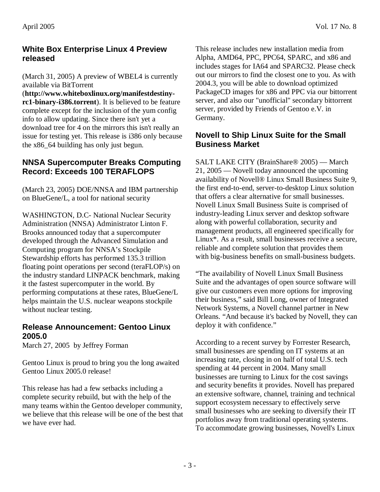#### **White Box Enterprise Linux 4 Preview released**

(March 31, 2005) A preview of WBEL4 is currently available via BitTorrent

(**http://www.whiteboxlinux.org/manifestdestinyrc1-binary-i386.torrent**). It is believed to be feature complete except for the inclusion of the yum config info to allow updating. Since there isn't yet a download tree for 4 on the mirrors this isn't really an issue for testing yet. This release is i386 only because the x86\_64 building has only just begun.

#### **NNSA Supercomputer Breaks Computing Record: Exceeds 100 TERAFLOPS**

(March 23, 2005) DOE/NNSA and IBM partnership on BlueGene/L, a tool for national security

WASHINGTON, D.C- National Nuclear Security Administration (NNSA) Administrator Linton F. Brooks announced today that a supercomputer developed through the Advanced Simulation and Computing program for NNSA's Stockpile Stewardship efforts has performed 135.3 trillion floating point operations per second (teraFLOP/s) on the industry standard LINPACK benchmark, making it the fastest supercomputer in the world. By performing computations at these rates, BlueGene/L helps maintain the U.S. nuclear weapons stockpile without nuclear testing.

#### **Release Announcement: Gentoo Linux 2005.0**

March 27, 2005 by Jeffrey Forman

Gentoo Linux is proud to bring you the long awaited Gentoo Linux 2005.0 release!

This release has had a few setbacks including a complete security rebuild, but with the help of the many teams within the Gentoo developer community, we believe that this release will be one of the best that we have ever had.

This release includes new installation media from Alpha, AMD64, PPC, PPC64, SPARC, and x86 and includes stages for IA64 and SPARC32. Please check out our mirrors to find the closest one to you. As with 2004.3, you will be able to download optimized PackageCD images for x86 and PPC via our bittorrent server, and also our "unofficial" secondary bittorrent server, provided by Friends of Gentoo e.V. in Germany.

## **Novell to Ship Linux Suite for the Small Business Market**

SALT LAKE CITY (BrainShare® 2005) — March 21, 2005 — Novell today announced the upcoming availability of Novell® Linux Small Business Suite 9, the first end-to-end, server-to-desktop Linux solution that offers a clear alternative for small businesses. Novell Linux Small Business Suite is comprised of industry-leading Linux server and desktop software along with powerful collaboration, security and management products, all engineered specifically for Linux\*. As a result, small businesses receive a secure, reliable and complete solution that provides them with big-business benefits on small-business budgets.

"The availability of Novell Linux Small Business Suite and the advantages of open source software will give our customers even more options for improving their business," said Bill Long, owner of Integrated Network Systems, a Novell channel partner in New Orleans. "And because it's backed by Novell, they can deploy it with confidence."

According to a recent survey by Forrester Research, small businesses are spending on IT systems at an increasing rate, closing in on half of total U.S. tech spending at 44 percent in 2004. Many small businesses are turning to Linux for the cost savings and security benefits it provides. Novell has prepared an extensive software, channel, training and technical support ecosystem necessary to effectively serve small businesses who are seeking to diversify their IT portfolios away from traditional operating systems. To accommodate growing businesses, Novell's Linux